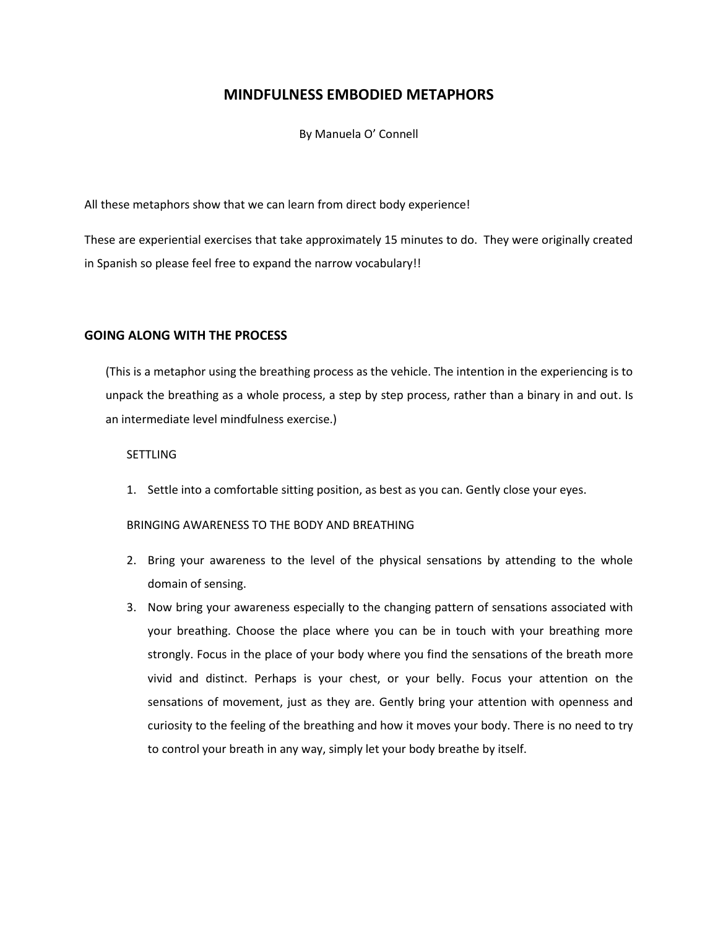# **MINDFULNESS EMBODIED METAPHORS**

By Manuela O' Connell

All these metaphors show that we can learn from direct body experience!

These are experiential exercises that take approximately 15 minutes to do. They were originally created in Spanish so please feel free to expand the narrow vocabulary!!

## **GOING ALONG WITH THE PROCESS**

(This is a metaphor using the breathing process as the vehicle. The intention in the experiencing is to unpack the breathing as a whole process, a step by step process, rather than a binary in and out. Is an intermediate level mindfulness exercise.)

#### **SETTLING**

1. Settle into a comfortable sitting position, as best as you can. Gently close your eyes.

## BRINGING AWARENESS TO THE BODY AND BREATHING

- 2. Bring your awareness to the level of the physical sensations by attending to the whole domain of sensing.
- 3. Now bring your awareness especially to the changing pattern of sensations associated with your breathing. Choose the place where you can be in touch with your breathing more strongly. Focus in the place of your body where you find the sensations of the breath more vivid and distinct. Perhaps is your chest, or your belly. Focus your attention on the sensations of movement, just as they are. Gently bring your attention with openness and curiosity to the feeling of the breathing and how it moves your body. There is no need to try to control your breath in any way, simply let your body breathe by itself.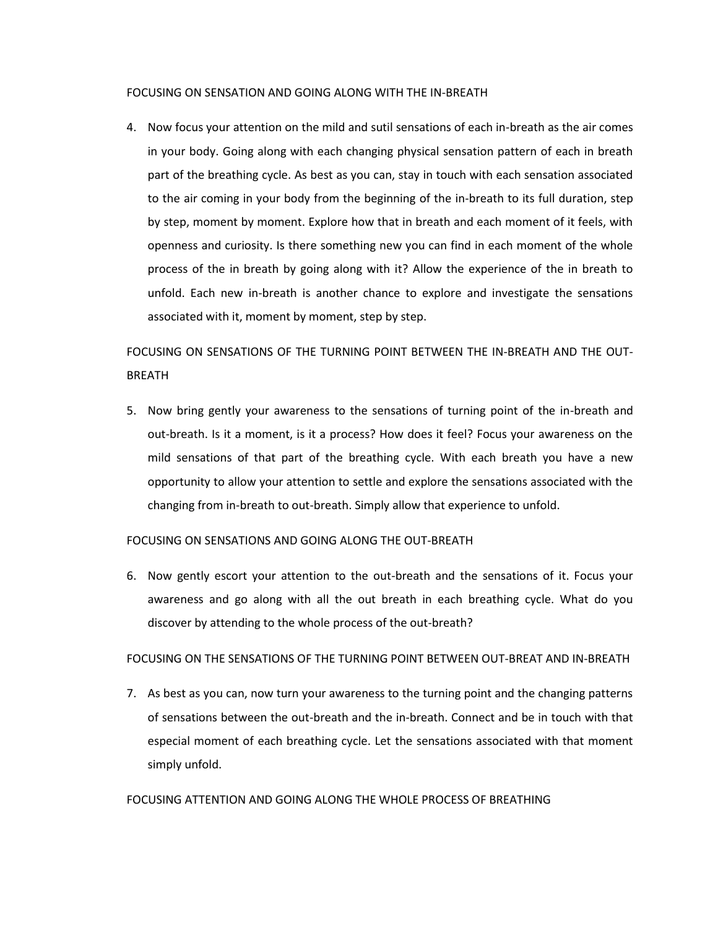#### FOCUSING ON SENSATION AND GOING ALONG WITH THE IN-BREATH

4. Now focus your attention on the mild and sutil sensations of each in-breath as the air comes in your body. Going along with each changing physical sensation pattern of each in breath part of the breathing cycle. As best as you can, stay in touch with each sensation associated to the air coming in your body from the beginning of the in-breath to its full duration, step by step, moment by moment. Explore how that in breath and each moment of it feels, with openness and curiosity. Is there something new you can find in each moment of the whole process of the in breath by going along with it? Allow the experience of the in breath to unfold. Each new in-breath is another chance to explore and investigate the sensations associated with it, moment by moment, step by step.

FOCUSING ON SENSATIONS OF THE TURNING POINT BETWEEN THE IN-BREATH AND THE OUT-BREATH

5. Now bring gently your awareness to the sensations of turning point of the in-breath and out-breath. Is it a moment, is it a process? How does it feel? Focus your awareness on the mild sensations of that part of the breathing cycle. With each breath you have a new opportunity to allow your attention to settle and explore the sensations associated with the changing from in-breath to out-breath. Simply allow that experience to unfold.

## FOCUSING ON SENSATIONS AND GOING ALONG THE OUT-BREATH

6. Now gently escort your attention to the out-breath and the sensations of it. Focus your awareness and go along with all the out breath in each breathing cycle. What do you discover by attending to the whole process of the out-breath?

## FOCUSING ON THE SENSATIONS OF THE TURNING POINT BETWEEN OUT-BREAT AND IN-BREATH

7. As best as you can, now turn your awareness to the turning point and the changing patterns of sensations between the out-breath and the in-breath. Connect and be in touch with that especial moment of each breathing cycle. Let the sensations associated with that moment simply unfold.

#### FOCUSING ATTENTION AND GOING ALONG THE WHOLE PROCESS OF BREATHING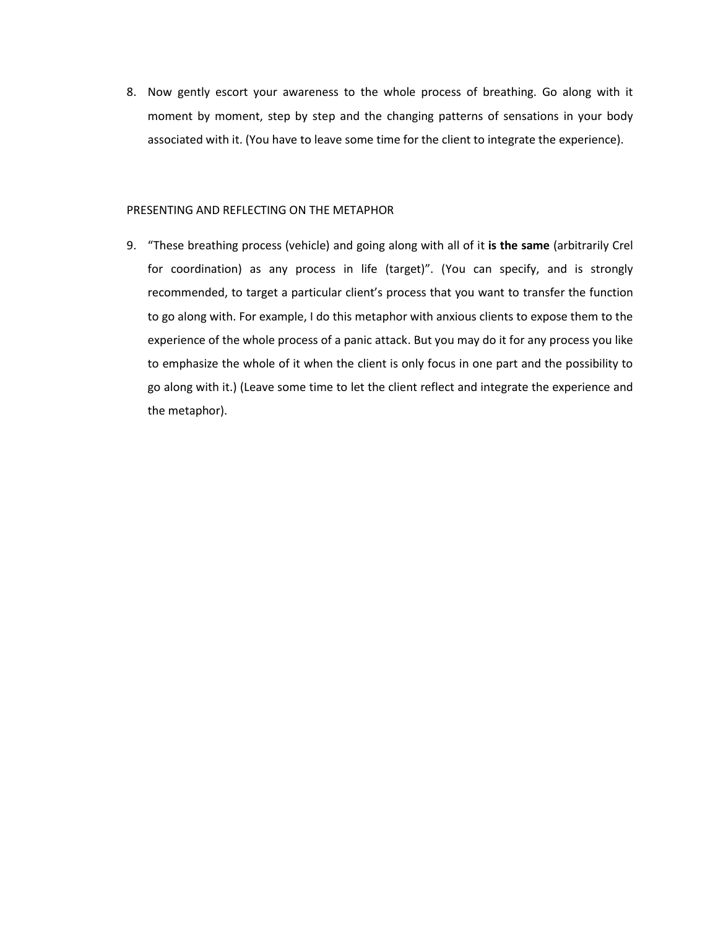8. Now gently escort your awareness to the whole process of breathing. Go along with it moment by moment, step by step and the changing patterns of sensations in your body associated with it. (You have to leave some time for the client to integrate the experience).

#### PRESENTING AND REFLECTING ON THE METAPHOR

9. "These breathing process (vehicle) and going along with all of it **is the same** (arbitrarily Crel for coordination) as any process in life (target)". (You can specify, and is strongly recommended, to target a particular client's process that you want to transfer the function to go along with. For example, I do this metaphor with anxious clients to expose them to the experience of the whole process of a panic attack. But you may do it for any process you like to emphasize the whole of it when the client is only focus in one part and the possibility to go along with it.) (Leave some time to let the client reflect and integrate the experience and the metaphor).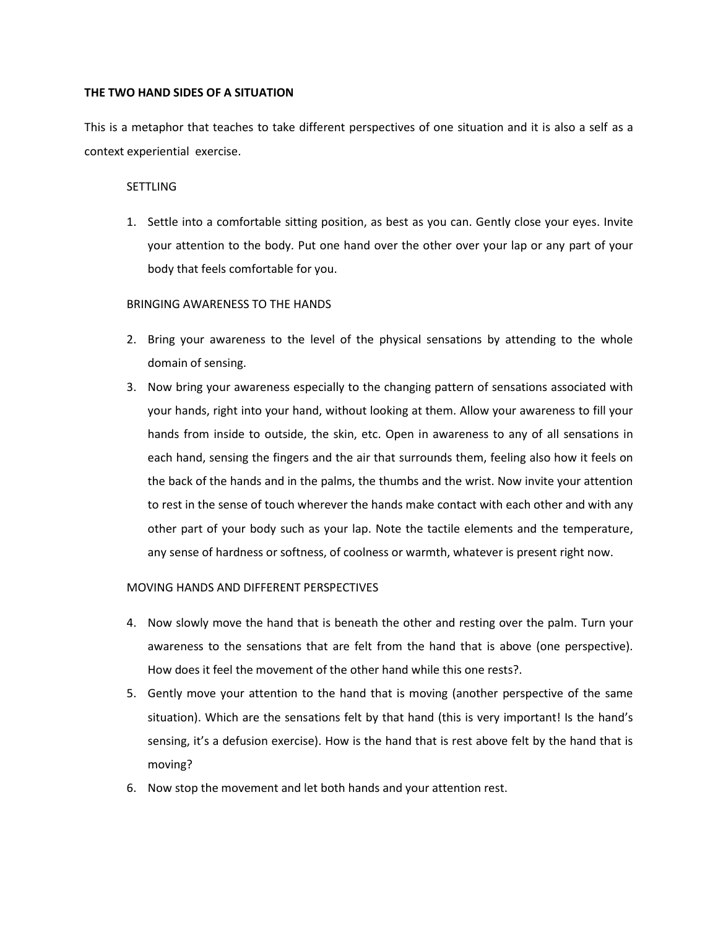#### **THE TWO HAND SIDES OF A SITUATION**

This is a metaphor that teaches to take different perspectives of one situation and it is also a self as a context experiential exercise.

#### **SETTLING**

1. Settle into a comfortable sitting position, as best as you can. Gently close your eyes. Invite your attention to the body. Put one hand over the other over your lap or any part of your body that feels comfortable for you.

## BRINGING AWARENESS TO THE HANDS

- 2. Bring your awareness to the level of the physical sensations by attending to the whole domain of sensing.
- 3. Now bring your awareness especially to the changing pattern of sensations associated with your hands, right into your hand, without looking at them. Allow your awareness to fill your hands from inside to outside, the skin, etc. Open in awareness to any of all sensations in each hand, sensing the fingers and the air that surrounds them, feeling also how it feels on the back of the hands and in the palms, the thumbs and the wrist. Now invite your attention to rest in the sense of touch wherever the hands make contact with each other and with any other part of your body such as your lap. Note the tactile elements and the temperature, any sense of hardness or softness, of coolness or warmth, whatever is present right now.

## MOVING HANDS AND DIFFERENT PERSPECTIVES

- 4. Now slowly move the hand that is beneath the other and resting over the palm. Turn your awareness to the sensations that are felt from the hand that is above (one perspective). How does it feel the movement of the other hand while this one rests?.
- 5. Gently move your attention to the hand that is moving (another perspective of the same situation). Which are the sensations felt by that hand (this is very important! Is the hand's sensing, it's a defusion exercise). How is the hand that is rest above felt by the hand that is moving?
- 6. Now stop the movement and let both hands and your attention rest.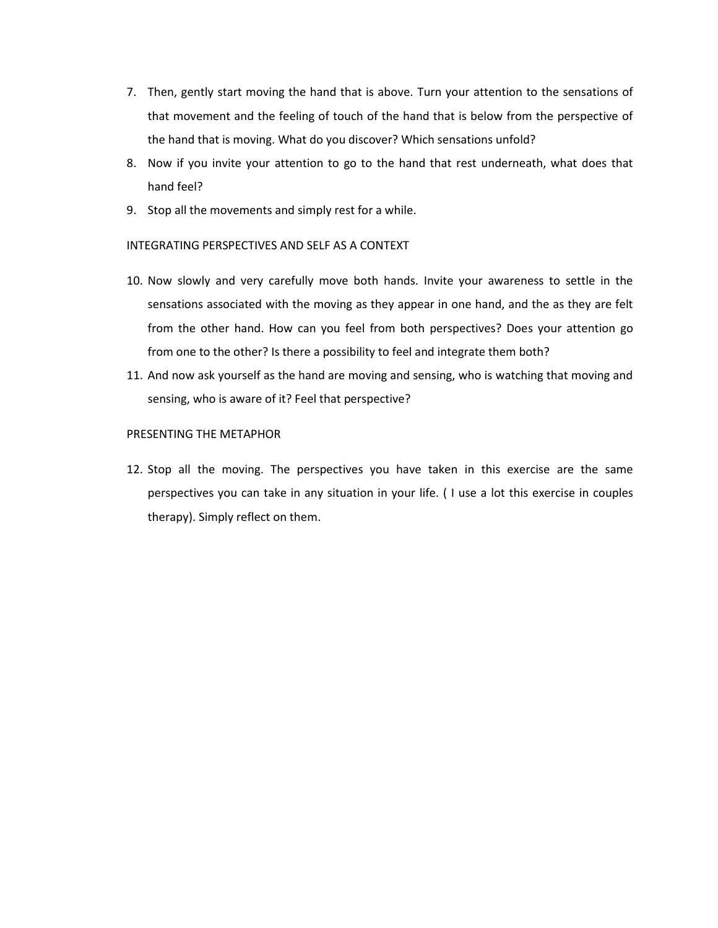- 7. Then, gently start moving the hand that is above. Turn your attention to the sensations of that movement and the feeling of touch of the hand that is below from the perspective of the hand that is moving. What do you discover? Which sensations unfold?
- 8. Now if you invite your attention to go to the hand that rest underneath, what does that hand feel?
- 9. Stop all the movements and simply rest for a while.

#### INTEGRATING PERSPECTIVES AND SELF AS A CONTEXT

- 10. Now slowly and very carefully move both hands. Invite your awareness to settle in the sensations associated with the moving as they appear in one hand, and the as they are felt from the other hand. How can you feel from both perspectives? Does your attention go from one to the other? Is there a possibility to feel and integrate them both?
- 11. And now ask yourself as the hand are moving and sensing, who is watching that moving and sensing, who is aware of it? Feel that perspective?

#### PRESENTING THE METAPHOR

12. Stop all the moving. The perspectives you have taken in this exercise are the same perspectives you can take in any situation in your life. ( I use a lot this exercise in couples therapy). Simply reflect on them.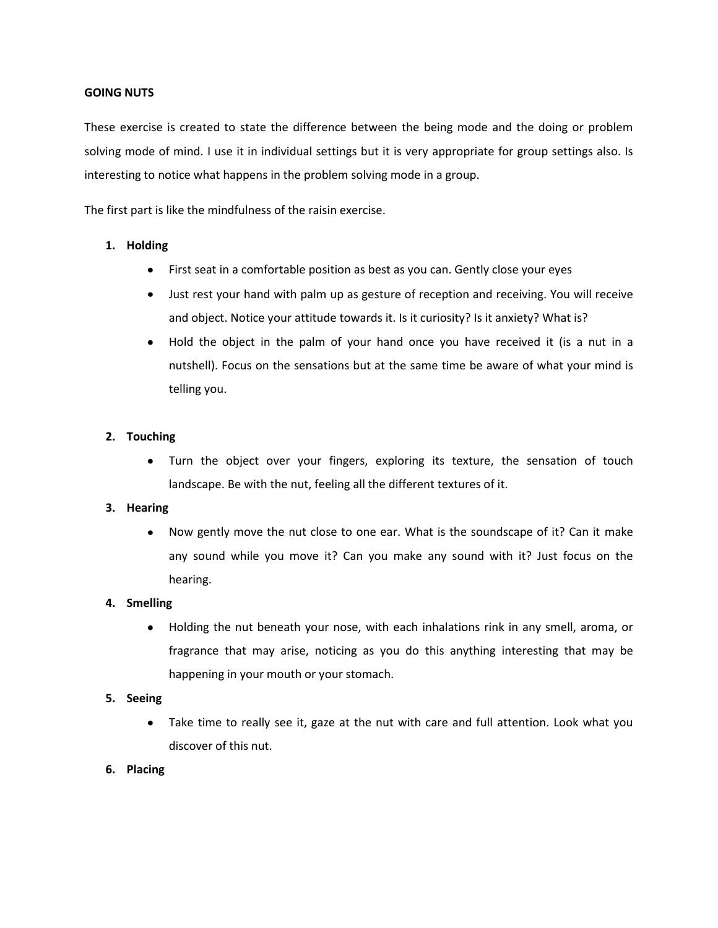#### **GOING NUTS**

These exercise is created to state the difference between the being mode and the doing or problem solving mode of mind. I use it in individual settings but it is very appropriate for group settings also. Is interesting to notice what happens in the problem solving mode in a group.

The first part is like the mindfulness of the raisin exercise.

#### **1. Holding**

- First seat in a comfortable position as best as you can. Gently close your eyes
- $\bullet$ Just rest your hand with palm up as gesture of reception and receiving. You will receive and object. Notice your attitude towards it. Is it curiosity? Is it anxiety? What is?
- Hold the object in the palm of your hand once you have received it (is a nut in a  $\bullet$ nutshell). Focus on the sensations but at the same time be aware of what your mind is telling you.

#### **2. Touching**

Turn the object over your fingers, exploring its texture, the sensation of touch  $\bullet$ landscape. Be with the nut, feeling all the different textures of it.

#### **3. Hearing**

Now gently move the nut close to one ear. What is the soundscape of it? Can it make any sound while you move it? Can you make any sound with it? Just focus on the hearing.

#### **4. Smelling**

Holding the nut beneath your nose, with each inhalations rink in any smell, aroma, or  $\bullet$ fragrance that may arise, noticing as you do this anything interesting that may be happening in your mouth or your stomach.

#### **5. Seeing**

Take time to really see it, gaze at the nut with care and full attention. Look what you  $\bullet$ discover of this nut.

#### **6. Placing**